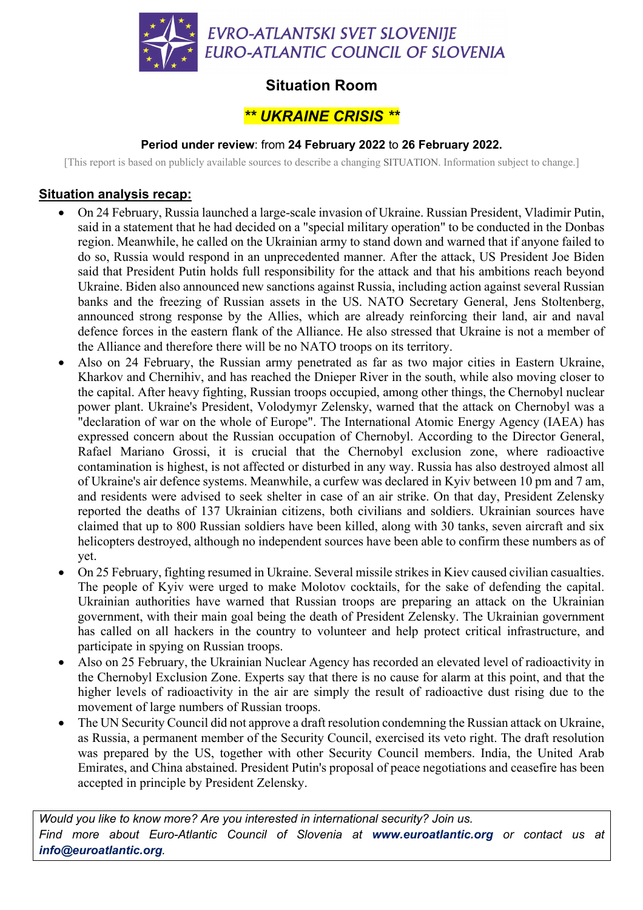

## **Situation Room**

# *\*\* UKRAINE CRISIS \*\**

#### **Period under review**: from **24 February 2022** to **26 February 2022.**

[This report is based on publicly available sources to describe a changing SITUATION. Information subject to change.]

### **Situation analysis recap:**

- On 24 February, Russia launched a large-scale invasion of Ukraine. Russian President, Vladimir Putin, said in a statement that he had decided on a "special military operation" to be conducted in the Donbas region. Meanwhile, he called on the Ukrainian army to stand down and warned that if anyone failed to do so, Russia would respond in an unprecedented manner. After the attack, US President Joe Biden said that President Putin holds full responsibility for the attack and that his ambitions reach beyond Ukraine. Biden also announced new sanctions against Russia, including action against several Russian banks and the freezing of Russian assets in the US. NATO Secretary General, Jens Stoltenberg, announced strong response by the Allies, which are already reinforcing their land, air and naval defence forces in the eastern flank of the Alliance. He also stressed that Ukraine is not a member of the Alliance and therefore there will be no NATO troops on its territory.
- Also on 24 February, the Russian army penetrated as far as two major cities in Eastern Ukraine, Kharkov and Chernihiv, and has reached the Dnieper River in the south, while also moving closer to the capital. After heavy fighting, Russian troops occupied, among other things, the Chernobyl nuclear power plant. Ukraine's President, Volodymyr Zelensky, warned that the attack on Chernobyl was a "declaration of war on the whole of Europe". The International Atomic Energy Agency (IAEA) has expressed concern about the Russian occupation of Chernobyl. According to the Director General, Rafael Mariano Grossi, it is crucial that the Chernobyl exclusion zone, where radioactive contamination is highest, is not affected or disturbed in any way. Russia has also destroyed almost all of Ukraine's air defence systems. Meanwhile, a curfew was declared in Kyiv between 10 pm and 7 am, and residents were advised to seek shelter in case of an air strike. On that day, President Zelensky reported the deaths of 137 Ukrainian citizens, both civilians and soldiers. Ukrainian sources have claimed that up to 800 Russian soldiers have been killed, along with 30 tanks, seven aircraft and six helicopters destroyed, although no independent sources have been able to confirm these numbers as of yet.
- On 25 February, fighting resumed in Ukraine. Several missile strikes in Kiev caused civilian casualties. The people of Kyiv were urged to make Molotov cocktails, for the sake of defending the capital. Ukrainian authorities have warned that Russian troops are preparing an attack on the Ukrainian government, with their main goal being the death of President Zelensky. The Ukrainian government has called on all hackers in the country to volunteer and help protect critical infrastructure, and participate in spying on Russian troops.
- Also on 25 February, the Ukrainian Nuclear Agency has recorded an elevated level of radioactivity in the Chernobyl Exclusion Zone. Experts say that there is no cause for alarm at this point, and that the higher levels of radioactivity in the air are simply the result of radioactive dust rising due to the movement of large numbers of Russian troops.
- The UN Security Council did not approve a draft resolution condemning the Russian attack on Ukraine, as Russia, a permanent member of the Security Council, exercised its veto right. The draft resolution was prepared by the US, together with other Security Council members. India, the United Arab Emirates, and China abstained. President Putin's proposal of peace negotiations and ceasefire has been accepted in principle by President Zelensky.

*Would you like to know more? Are you interested in international security? Join us. Find more about Euro-Atlantic Council of Slovenia at www.euroatlantic.org or contact us at info@euroatlantic.org.*